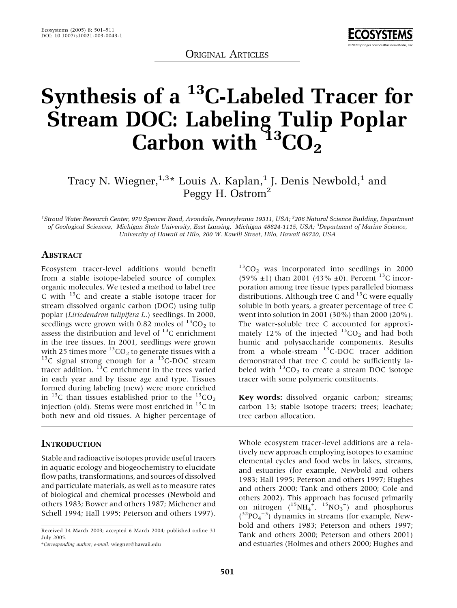ORIGINAL ARTICLES



# Synthesis of a <sup>13</sup>C-Labeled Tracer for Stream DOC: Labeling Tulip Poplar Carbon with  $13^3$ CO<sub>2</sub>

Tracy N. Wiegner, $^{1,3\,*}$  Louis A. Kaplan, $^1$  J. Denis Newbold, $^1$  and Peggy H. Ostrom<sup>2</sup>

<sup>1</sup>Stroud Water Research Center, 970 Spencer Road, Avondale, Pennsylvania 19311, USA; <sup>2</sup>206 Natural Science Building, Department of Geological Sciences, Michigan State University, East Lansing, Michigan 48824-1115, USA; <sup>3</sup>Department of Marine Science, University of Hawaii at Hilo, 200 W. Kawili Street, Hilo, Hawaii 96720, USA

## **ABSTRACT**

Ecosystem tracer-level additions would benefit from a stable isotope-labeled source of complex organic molecules. We tested a method to label tree C with  $^{13}$ C and create a stable isotope tracer for stream dissolved organic carbon (DOC) using tulip poplar (Liriodendron tulipifera L.) seedlings. In 2000, seedlings were grown with 0.82 moles of  $^{13}CO_2$  to assess the distribution and level of  $13C$  enrichment in the tree tissues. In 2001, seedlings were grown<br>with 25 times more  $^{13}$ CO<sub>2</sub> to generate tissues with a  $^{13}$ C signal strong enough for a  $^{13}$ C-DOC stream tracer addition.  $^{13}$ C enrichment in the trees varied in each year and by tissue age and type. Tissues formed during labeling (new) were more enriched in <sup>13</sup>C than tissues established prior to the  $^{13}CO<sub>2</sub>$ injection (old). Stems were most enriched in  $^{13}$ C in both new and old tissues. A higher percentage of

#### **INTRODUCTION**

Stable and radioactive isotopes provide useful tracers in aquatic ecology and biogeochemistry to elucidate flow paths, transformations, and sources of dissolved and particulate materials, as well as to measure rates of biological and chemical processes (Newbold and others 1983; Bower and others 1987; Michener and Schell 1994; Hall 1995; Peterson and others 1997).

 $13$ CO<sub>2</sub> was incorporated into seedlings in 2000  $(59\% \pm 1)$  than 2001 (43%  $\pm 0$ ). Percent <sup>13</sup>C incorporation among tree tissue types paralleled biomass distributions. Although tree C and  $^{13}$ C were equally soluble in both years, a greater percentage of tree C went into solution in 2001 (30%) than 2000 (20%). The water-soluble tree C accounted for approximately 12% of the injected  $^{13}CO_2$  and had both humic and polysaccharide components. Results from a whole-stream  $^{13}$ C-DOC tracer addition demonstrated that tree C could be sufficiently labeled with  ${}^{13}CO_2$  to create a stream DOC isotope tracer with some polymeric constituents.

Key words: dissolved organic carbon; streams; carbon 13; stable isotope tracers; trees; leachate; tree carbon allocation.

Whole ecosystem tracer-level additions are a relatively new approach employing isotopes to examine elemental cycles and food webs in lakes, streams, and estuaries (for example, Newbold and others 1983; Hall 1995; Peterson and others 1997; Hughes and others 2000; Tank and others 2000; Cole and others 2002). This approach has focused primarily on nitrogen  $\binom{15}{16}$   $\binom{15}{4}$   $\binom{15}{16}$   $\binom{15}{16}$  and phosphorus  $(^{32}PO_4^{-3})$  dynamics in streams (for example, Newbold and others 1983; Peterson and others 1997; Tank and others 2000; Peterson and others 2001) and estuaries (Holmes and others 2000; Hughes and

Received 14 March 2003; accepted 6 March 2004; published online 31 July 2005.

<sup>\*</sup>Corresponding author; e-mail: wiegner@hawaii.edu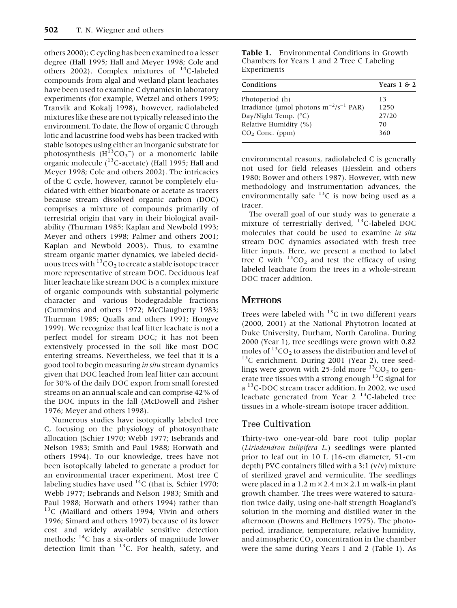others 2000); C cycling has been examined to a lesser degree (Hall 1995; Hall and Meyer 1998; Cole and others 2002). Complex mixtures of  $^{14}$ C-labeled compounds from algal and wetland plant leachates have been used to examine C dynamics in laboratory experiments (for example, Wetzel and others 1995; Tranvik and Kokalj 1998), however, radiolabeled mixtures like these are not typically released into the environment. To date, the flow of organic C through lotic and lacustrine food webs has been tracked with stable isotopes using either an inorganic substrate for photosynthesis  $(H^{13}CO_3^-)$  or a monomeric labile organic molecule (<sup>13</sup>C-acetate) (Hall 1995; Hall and Meyer 1998; Cole and others 2002). The intricacies of the C cycle, however, cannot be completely elucidated with either bicarbonate or acetate as tracers because stream dissolved organic carbon (DOC) comprises a mixture of compounds primarily of terrestrial origin that vary in their biological availability (Thurman 1985; Kaplan and Newbold 1993; Meyer and others 1998; Palmer and others 2001; Kaplan and Newbold 2003). Thus, to examine stream organic matter dynamics, we labeled deciduous trees with  ${}^{13}CO_2$  to create a stable isotope tracer more representative of stream DOC. Deciduous leaf litter leachate like stream DOC is a complex mixture of organic compounds with substantial polymeric character and various biodegradable fractions (Cummins and others 1972; McClaugherty 1983; Thurman 1985; Qualls and others 1991; Hongve 1999). We recognize that leaf litter leachate is not a perfect model for stream DOC; it has not been extensively processed in the soil like most DOC entering streams. Nevertheless, we feel that it is a good tool to begin measuring in situ stream dynamics given that DOC leached from leaf litter can account for 30% of the daily DOC export from small forested streams on an annual scale and can comprise 42% of the DOC inputs in the fall (McDowell and Fisher 1976; Meyer and others 1998).

Numerous studies have isotopically labeled tree C, focusing on the physiology of photosynthate allocation (Schier 1970; Webb 1977; Isebrands and Nelson 1983; Smith and Paul 1988; Horwath and others 1994). To our knowledge, trees have not been isotopically labeled to generate a product for an environmental tracer experiment. Most tree C labeling studies have used  $^{14}C$  (that is, Schier 1970; Webb 1977; Isebrands and Nelson 1983; Smith and Paul 1988; Horwath and others 1994) rather than 13C (Maillard and others 1994; Vivin and others 1996; Simard and others 1997) because of its lower cost and widely available sensitive detection methods; <sup>14</sup>C has a six-orders of magnitude lower detection limit than  $^{13}$ C. For health, safety, and

Table 1. Environmental Conditions in Growth Chambers for Years 1 and 2 Tree C Labeling Experiments

| Conditions                                    | Years $1 \& 2$ |
|-----------------------------------------------|----------------|
| Photoperiod (h)                               | 13             |
| Irradiance (µmol photons $m^{-2}/s^{-1}$ PAR) | 1250           |
| Day/Night Temp. $(^{\circ}C)$                 | 27/20          |
| Relative Humidity (%)                         | 70             |
| $CO2$ Conc. (ppm)                             | 360            |

environmental reasons, radiolabeled C is generally not used for field releases (Hesslein and others 1980; Bower and others 1987). However, with new methodology and instrumentation advances, the environmentally safe  $^{13}$ C is now being used as a tracer.

The overall goal of our study was to generate a mixture of terrestrially derived, <sup>13</sup>C-labeled DOC molecules that could be used to examine in situ stream DOC dynamics associated with fresh tree litter inputs. Here, we present a method to label tree C with  ${}^{13}CO_2$  and test the efficacy of using labeled leachate from the trees in a whole-stream DOC tracer addition.

# **METHODS**

Trees were labeled with  $^{13}$ C in two different years (2000, 2001) at the National Phytotron located at Duke University, Durham, North Carolina. During 2000 (Year 1), tree seedlings were grown with 0.82 moles of  ${}^{13}CO_2$  to assess the distribution and level of  ${}^{13}C$  enrichment. During 2001 (Year 2), tree seedlings were grown with 25-fold more  $^{13}CO_2$  to generate tree tissues with a strong enough  $^{13}$ C signal for a <sup>13</sup>C-DOC stream tracer addition. In 2002, we used leachate generated from Year  $2^{13}$ C-labeled tree tissues in a whole-stream isotope tracer addition.

# Tree Cultivation

Thirty-two one-year-old bare root tulip poplar (Liriodendron tulipifera L.) seedlings were planted prior to leaf out in 10 L (16-cm diameter, 51-cm depth) PVC containers filled with a 3:1 (v/v) mixture of sterilized gravel and vermiculite. The seedlings were placed in a  $1.2 \text{ m} \times 2.4 \text{ m} \times 2.1 \text{ m}$  walk-in plant growth chamber. The trees were watered to saturation twice daily, using one-half strength Hoagland's solution in the morning and distilled water in the afternoon (Downs and Hellmers 1975). The photoperiod, irradiance, temperature, relative humidity, and atmospheric  $CO<sub>2</sub>$  concentration in the chamber were the same during Years 1 and 2 (Table 1). As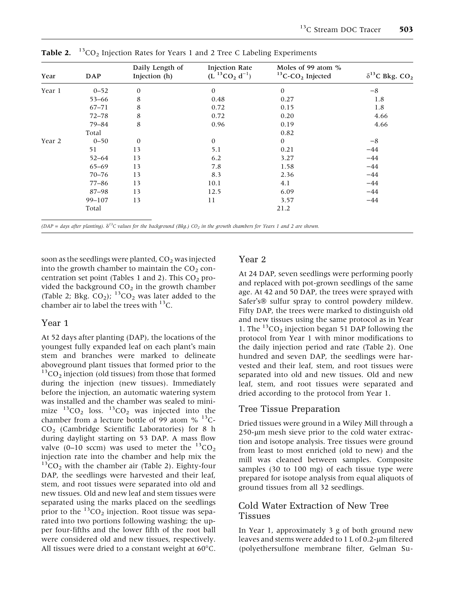| Year   | <b>DAP</b> | Daily Length of<br>Injection (h) | <b>Injection Rate</b><br>$(L^{13}CO_2 d^{-1})$ | Moles of 99 atom %<br>${}^{13}$ C-CO <sub>2</sub> Injected | $\delta^{13}$ C Bkg. CO <sub>2</sub> |
|--------|------------|----------------------------------|------------------------------------------------|------------------------------------------------------------|--------------------------------------|
| Year 1 | $0 - 52$   | $\boldsymbol{0}$                 | $\mathbf{0}$                                   | $\mathbf{0}$                                               | $-8$                                 |
|        | $53 - 66$  | 8                                | 0.48                                           | 0.27                                                       | 1.8                                  |
|        | $67 - 71$  | 8                                | 0.72                                           | 0.15                                                       | 1.8                                  |
|        | $72 - 78$  | 8                                | 0.72                                           | 0.20                                                       | 4.66                                 |
|        | 79-84      | 8                                | 0.96                                           | 0.19                                                       | 4.66                                 |
|        | Total      |                                  |                                                | 0.82                                                       |                                      |
| Year 2 | $0 - 50$   | $\mathbf{0}$                     | $\mathbf{0}$                                   | $\mathbf{0}$                                               | $-8$                                 |
|        | 51         | 13                               | 5.1                                            | 0.21                                                       | $-44$                                |
|        | $52 - 64$  | 13                               | 6.2                                            | 3.27                                                       | $-44$                                |
|        | $65 - 69$  | 13                               | 7.8                                            | 1.58                                                       | $-44$                                |
|        | $70 - 76$  | 13                               | 8.3                                            | 2.36                                                       | $-44$                                |
|        | $77 - 86$  | 13                               | 10.1                                           | 4.1                                                        | $-44$                                |
|        | 87-98      | 13                               | 12.5                                           | 6.09                                                       | $-44$                                |
|        | 99-107     | 13                               | 11                                             | 3.57                                                       | $-44$                                |
|        | Total      |                                  |                                                | 21.2                                                       |                                      |

**Table 2.** <sup>13</sup>CO<sub>2</sub> Injection Rates for Years 1 and 2 Tree C Labeling Experiments

(DAP = days after planting).  $\delta^{13}C$  values for the background (Bkg.) CO<sub>2</sub> in the growth chambers for Years 1 and 2 are shown.

soon as the seedlings were planted,  $CO<sub>2</sub>$  was injected into the growth chamber to maintain the  $CO<sub>2</sub>$  concentration set point (Tables 1 and 2). This  $CO<sub>2</sub>$  provided the background  $CO<sub>2</sub>$  in the growth chamber (Table 2; Bkg.  $CO<sub>2</sub>$ ); <sup>13</sup>CO<sub>2</sub> was later added to the chamber air to label the trees with  $^{13}$ C.

#### Year 1

At 52 days after planting (DAP), the locations of the youngest fully expanded leaf on each plant's main stem and branches were marked to delineate aboveground plant tissues that formed prior to the  ${}^{13}CO_2$  injection (old tissues) from those that formed during the injection (new tissues). Immediately before the injection, an automatic watering system was installed and the chamber was sealed to minimize  ${}^{13}CO_2$  loss.  ${}^{13}CO_2$  was injected into the chamber from a lecture bottle of 99 atom  $\%$  <sup>13</sup>C- $CO<sub>2</sub>$  (Cambridge Scientific Laboratories) for 8 h during daylight starting on 53 DAP. A mass flow valve (0–10 sccm) was used to meter the  $^{13}CO_2$ injection rate into the chamber and help mix the  ${}^{13}CO_2$  with the chamber air (Table 2). Eighty-four DAP, the seedlings were harvested and their leaf, stem, and root tissues were separated into old and new tissues. Old and new leaf and stem tissues were separated using the marks placed on the seedlings prior to the  ${}^{13}CO_2$  injection. Root tissue was separated into two portions following washing; the upper four-fifths and the lower fifth of the root ball were considered old and new tissues, respectively. All tissues were dried to a constant weight at  $60^{\circ}$ C.

## Year 2

At 24 DAP, seven seedlings were performing poorly and replaced with pot-grown seedlings of the same age. At 42 and 50 DAP, the trees were sprayed with Safer's<sup>®</sup> sulfur spray to control powdery mildew. Fifty DAP, the trees were marked to distinguish old and new tissues using the same protocol as in Year 1. The  ${}^{13}CO_2$  injection began 51 DAP following the protocol from Year 1 with minor modifications to the daily injection period and rate (Table 2). One hundred and seven DAP, the seedlings were harvested and their leaf, stem, and root tissues were separated into old and new tissues. Old and new leaf, stem, and root tissues were separated and dried according to the protocol from Year 1.

## Tree Tissue Preparation

Dried tissues were ground in a Wiley Mill through a 250-um mesh sieve prior to the cold water extraction and isotope analysis. Tree tissues were ground from least to most enriched (old to new) and the mill was cleaned between samples. Composite samples (30 to 100 mg) of each tissue type were prepared for isotope analysis from equal aliquots of ground tissues from all 32 seedlings.

## Cold Water Extraction of New Tree Tissues

In Year 1, approximately 3 g of both ground new leaves and stems were added to  $1$  L of 0.2-µm filtered (polyethersulfone membrane filter, Gelman Su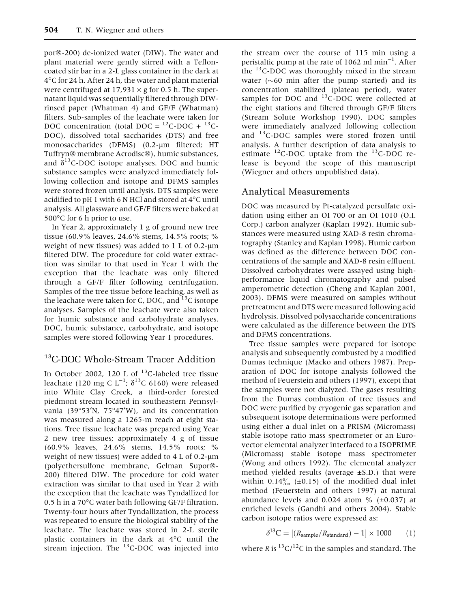por®-200) de-ionized water (DIW). The water and plant material were gently stirred with a Tefloncoated stir bar in a 2-L glass container in the dark at 4°C for 24 h. After 24 h, the water and plant material were centrifuged at 17,931  $\times$  g for 0.5 h. The supernatant liquid was sequentially filtered through DIWrinsed paper (Whatman 4) and GF/F (Whatman) filters. Sub-samples of the leachate were taken for DOC concentration (total DOC =  $^{12}$ C-DOC +  $^{13}$ C-DOC), dissolved total saccharides (DTS) and free monosaccharides (DFMS) (0.2-um filtered; HT Tuffryn® membrane Acrodisc®), humic substances, and  $\delta^{13}$ C-DOC isotope analyses. DOC and humic substance samples were analyzed immediately following collection and isotope and DFMS samples were stored frozen until analysis. DTS samples were acidified to pH 1 with 6 N HCl and stored at  $4^{\circ}$ C until analysis. All glassware and GF/F filters were baked at 500°C for 6 h prior to use.

In Year 2, approximately 1 g of ground new tree tissue (60.9% leaves, 24.6% stems, 14.5% roots; % weight of new tissues) was added to  $1 \text{ L of } 0.2$ -µm filtered DIW. The procedure for cold water extraction was similar to that used in Year 1 with the exception that the leachate was only filtered through a GF/F filter following centrifugation. Samples of the tree tissue before leaching, as well as the leachate were taken for C, DOC, and  $^{13}$ C isotope analyses. Samples of the leachate were also taken for humic substance and carbohydrate analyses. DOC, humic substance, carbohydrate, and isotope samples were stored following Year 1 procedures.

# <sup>13</sup>C-DOC Whole-Stream Tracer Addition

In October 2002, 120 L of  $^{13}$ C-labeled tree tissue leachate (120 mg C L<sup>-1</sup>;  $\delta^{13}$ C 6160) were released into White Clay Creek, a third-order forested piedmont stream located in southeastern Pennsylvania (39°53'N, 75°47'W), and its concentration was measured along a 1265-m reach at eight stations. Tree tissue leachate was prepared using Year 2 new tree tissues; approximately 4 g of tissue (60.9% leaves, 24.6% stems, 14.5% roots; % weight of new tissues) were added to  $4 L of 0.2$ - $\mu$ m (polyethersulfone membrane, Gelman Supor®-200) filtered DIW. The procedure for cold water extraction was similar to that used in Year 2 with the exception that the leachate was Tyndallized for 0.5 h in a 70°C water bath following GF/F filtration. Twenty-four hours after Tyndallization, the process was repeated to ensure the biological stability of the leachate. The leachate was stored in 2-L sterile plastic containers in the dark at 4°C until the stream injection. The  $^{13}$ C-DOC was injected into the stream over the course of 115 min using a peristaltic pump at the rate of 1062 ml min<sup>-1</sup>. After the  $^{13}$ C-DOC was thoroughly mixed in the stream water  $(\sim 60$  min after the pump started) and its concentration stabilized (plateau period), water samples for DOC and  $^{13}$ C-DOC were collected at the eight stations and filtered through GF/F filters (Stream Solute Workshop 1990). DOC samples were immediately analyzed following collection and <sup>13</sup>C-DOC samples were stored frozen until analysis. A further description of data analysis to estimate  ${}^{12}$ C-DOC uptake from the  ${}^{13}$ C-DOC release is beyond the scope of this manuscript (Wiegner and others unpublished data).

## Analytical Measurements

DOC was measured by Pt-catalyzed persulfate oxidation using either an OI 700 or an OI 1010 (O.I. Corp.) carbon analyzer (Kaplan 1992). Humic substances were measured using XAD-8 resin chromatography (Stanley and Kaplan 1998). Humic carbon was defined as the difference between DOC concentrations of the sample and XAD-8 resin effluent. Dissolved carbohydrates were assayed using highperformance liquid chromatography and pulsed amperometric detection (Cheng and Kaplan 2001, 2003). DFMS were measured on samples without pretreatment and DTS were measured following acid hydrolysis. Dissolved polysaccharide concentrations were calculated as the difference between the DTS and DFMS concentrations.

Tree tissue samples were prepared for isotope analysis and subsequently combusted by a modified Dumas technique (Macko and others 1987). Preparation of DOC for isotope analysis followed the method of Feuerstein and others (1997), except that the samples were not dialyzed. The gases resulting from the Dumas combustion of tree tissues and DOC were purified by cryogenic gas separation and subsequent isotope determinations were performed using either a dual inlet on a PRISM (Micromass) stable isotope ratio mass spectrometer or an Eurovector elemental analyzer interfaced to a ISOPRIME (Micromass) stable isotope mass spectrometer (Wong and others 1992). The elemental analyzer method yielded results (average ±S.D.) that were within  $0.14\%$  (±0.15) of the modified dual inlet method (Feuerstein and others 1997) at natural abundance levels and 0.024 atom %  $(\pm 0.037)$  at enriched levels (Gandhi and others 2004). Stable carbon isotope ratios were expressed as:

$$
\delta^{13}C = [(R_{sample}/R_{standard}) - 1] \times 1000 \qquad (1)
$$

where R is  ${}^{13}C/{}^{12}C$  in the samples and standard. The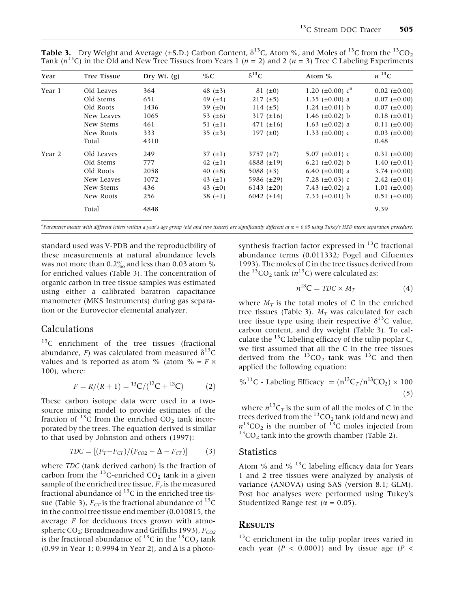| Year   | <b>Tree Tissue</b> | Dry Wt. $(g)$ | % $C$        | $\delta^{13}C$  | Atom $%$                 | $n^{13}C$         |
|--------|--------------------|---------------|--------------|-----------------|--------------------------|-------------------|
| Year 1 | Old Leaves         | 364           | 48 $(\pm 3)$ | $81 (\pm 0)$    | 1.20 ( $\pm$ 0.00) $c^a$ | $0.02~(\pm 0.00)$ |
|        | Old Stems          | 651           | 49 $(\pm 4)$ | $217 (+5)$      | 1.35 $(\pm 0.00)$ a      | $0.07~(\pm 0.00)$ |
|        | Old Roots          | 1436          | 39 $(\pm 0)$ | $114 (+5)$      | 1.24 $(\pm 0.01)$ b      | $0.07~(\pm 0.00)$ |
|        | New Leaves         | 1065          | 53 $(\pm 6)$ | 317 $(\pm 16)$  | 1.46 $(\pm 0.02)$ b      | $0.18~(\pm 0.01)$ |
|        | New Stems          | 461           | 51 $(\pm 1)$ | 471 $(\pm 16)$  | 1.63 $(\pm 0.02)$ a      | $0.11 (\pm 0.00)$ |
|        | New Roots          | 333           | 35 $(\pm 3)$ | 197 $(\pm 0)$   | 1.33 $(\pm 0.00)$ c      | $0.03~(\pm 0.00)$ |
|        | Total              | 4310          |              |                 |                          | 0.48              |
| Year 2 | Old Leaves         | 249           | 37 $(\pm 1)$ | 3757 $(\pm 7)$  | 5.07 $(\pm 0.01)$ c      | $0.31 (\pm 0.00)$ |
|        | Old Stems          | 777           | 42 $(\pm 1)$ | 4888 $(\pm 19)$ | 6.21 $(\pm 0.02)$ b      | 1.40 $(\pm 0.01)$ |
|        | Old Roots          | 2058          | 40 $(\pm 8)$ | 5088 $(\pm 3)$  | 6.40 $(\pm 0.00)$ a      | 3.74 $(\pm 0.00)$ |
|        | New Leaves         | 1072          | 43 $(\pm 1)$ | 5986 (±29)      | 7.28 $(\pm 0.03)$ c      | 2.42 $(\pm 0.01)$ |
|        | New Stems          | 436           | 43 $(\pm 0)$ | $6143 (+20)$    | 7.43 $(\pm 0.02)$ a      | 1.01 $(\pm 0.00)$ |
|        | New Roots          | 256           | 38 $(\pm 1)$ | 6042 $(\pm 14)$ | 7.33 $(\pm 0.01)$ b      | $0.51 (\pm 0.00)$ |
|        | Total              | 4848          |              |                 |                          | 9.39              |

**Table 3.** Dry Weight and Average (±S.D.) Carbon Content,  $\delta^{13}$ C, Atom %, and Moles of <sup>13</sup>C from the <sup>13</sup>CO<sub>2</sub> Tank ( $n^{13}$ C) in the Old and New Tree Tissues from Years 1 ( $n = 2$ ) and 2 ( $n = 3$ ) Tree C Labeling Experiments

a Parameter means with different letters within a years age group (old and new tissues) are significantly different at a = 0.05 using Tukeys HSD mean separation procedure.

standard used was V-PDB and the reproducibility of these measurements at natural abundance levels was not more than  $0.2\%$  and less than 0.03 atom % for enriched values (Table 3). The concentration of organic carbon in tree tissue samples was estimated using either a calibrated baratron capacitance manometer (MKS Instruments) during gas separation or the Eurovector elemental analyzer.

## Calculations

<sup>13</sup>C enrichment of the tree tissues (fractional abundance, F) was calculated from measured  $\delta^{13}C$ values and is reported as atom % (atom % =  $F \times$ 100), where:

$$
F = R/(R+1) = {}^{13}C/({}^{12}C + {}^{13}C)
$$
 (2)

These carbon isotope data were used in a twosource mixing model to provide estimates of the fraction of  $^{13}$ C from the enriched CO<sub>2</sub> tank incorporated by the trees. The equation derived is similar to that used by Johnston and others (1997):

$$
TDC = [(F_T - F_{CT})/(F_{CO2} - \Delta - F_{CT})]
$$
 (3)

where TDC (tank derived carbon) is the fraction of carbon from the <sup>13</sup>C-enriched  $CO<sub>2</sub>$  tank in a given sample of the enriched tree tissue,  $F_T$  is the measured fractional abundance of  ${}^{13}$ C in the enriched tree tissue (Table 3),  $F_{CT}$  is the fractional abundance of <sup>13</sup>C in the control tree tissue end member (0.010815, the average  $F$  for deciduous trees grown with atmospheric CO<sub>2</sub>; Broadmeadow and Griffiths 1993),  $F_{CO2}$ is the fractional abundance of  $^{13}$ C in the  $^{13}$ CO<sub>2</sub> tank (0.99 in Year 1; 0.9994 in Year 2), and  $\Delta$  is a photo-

synthesis fraction factor expressed in  $^{13}$ C fractional abundance terms (0.011332; Fogel and Cifuentes 1993). The moles of C in the tree tissues derived from the <sup>13</sup>CO<sub>2</sub> tank ( $n$ <sup>13</sup>C) were calculated as:

$$
n^{13}\text{C} = TDC \times M_T \tag{4}
$$

where  $M_T$  is the total moles of C in the enriched tree tissues (Table 3).  $M_T$  was calculated for each tree tissue type using their respective  $\delta^{13}$ C value, carbon content, and dry weight (Table 3). To calculate the  $^{13}$ C labeling efficacy of the tulip poplar C, we first assumed that all the C in the tree tissues derived from the  ${}^{13}CO_2$  tank was  ${}^{13}C$  and then applied the following equation:

<sup>9</sup><sub>6</sub><sup>13</sup>C - Labeling Efficiency = 
$$
(n^{13}C_T/n^{13}CO_2) \times 100
$$
 (5)

where  $n^{13}C_T$  is the sum of all the moles of C in the trees derived from the  $^{13} \rm CO_2$  tank (old and new) and  $n^{13}CO_2$  is the number of <sup>13</sup>C moles injected from  $n^{13}CO_2$  tank into the growth chamber (Table 2).

#### **Statistics**

Atom % and %  $^{13}$ C labeling efficacy data for Years 1 and 2 tree tissues were analyzed by analysis of variance (ANOVA) using SAS (version 8.1; GLM). Post hoc analyses were performed using Tukey's Studentized Range test ( $\alpha = 0.05$ ).

#### RESULTS

<sup>13</sup>C enrichment in the tulip poplar trees varied in each year ( $P < 0.0001$ ) and by tissue age ( $P <$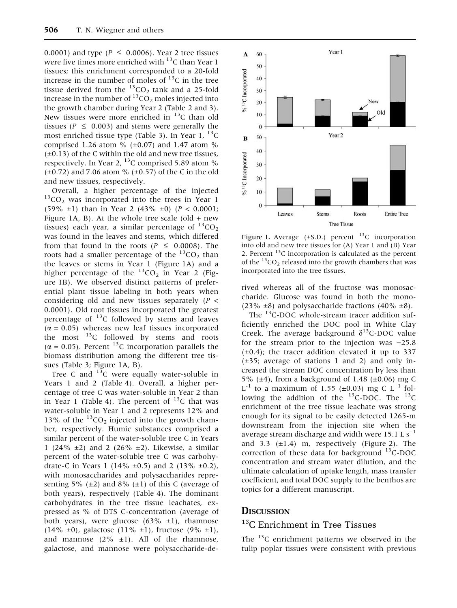0.0001) and type ( $P \le 0.0006$ ). Year 2 tree tissues were five times more enriched with  $^{13}$ C than Year 1 tissues; this enrichment corresponded to a 20-fold increase in the number of moles of  $^{13}$ C in the tree tissue derived from the  ${}^{13}CO_2$  tank and a 25-fold increase in the number of  ${}^{13}CO_2$  moles injected into the growth chamber during Year 2 (Table 2 and 3). New tissues were more enriched in  $^{13}$ C than old tissues ( $P \leq 0.003$ ) and stems were generally the most enriched tissue type (Table 3). In Year 1,  $^{13}$ C comprised 1.26 atom  $\%$  (±0.07) and 1.47 atom  $\%$  $(\pm 0.13)$  of the C within the old and new tree tissues, respectively. In Year 2,  $^{13}$ C comprised 5.89 atom %  $(\pm 0.72)$  and 7.06 atom %  $(\pm 0.57)$  of the C in the old and new tissues, respectively.

Overall, a higher percentage of the injected  $13CO<sub>2</sub>$  was incorporated into the trees in Year 1 (59%  $\pm$ 1) than in Year 2 (43%  $\pm$ 0) (P < 0.0001; Figure 1A, B). At the whole tree scale (old  $+$  new tissues) each year, a similar percentage of  ${}^{13}CO_2$ was found in the leaves and stems, which differed from that found in the roots ( $P \le 0.0008$ ). The roots had a smaller percentage of the  ${}^{13}CO_2$  than the leaves or stems in Year 1 (Figure 1A) and a higher percentage of the  ${}^{13}CO_2$  in Year 2 (Figure 1B). We observed distinct patterns of preferential plant tissue labeling in both years when considering old and new tissues separately  $(P \leq$ 0.0001). Old root tissues incorporated the greatest percentage of  $^{13}$ C followed by stems and leaves  $(\alpha = 0.05)$  whereas new leaf tissues incorporated the most  $^{13}$ C followed by stems and roots  $(\alpha = 0.05)$ . Percent <sup>13</sup>C incorporation parallels the biomass distribution among the different tree tissues (Table 3; Figure 1A, B).

Tree C and  $1^3C$  were equally water-soluble in Years 1 and 2 (Table 4). Overall, a higher percentage of tree C was water-soluble in Year 2 than in Year 1 (Table 4). The percent of  $^{13}$ C that was water-soluble in Year 1 and 2 represents 12% and 13% of the  $^{13}CO_2$  injected into the growth chamber, respectively. Humic substances comprised a similar percent of the water-soluble tree C in Years 1 (24%  $\pm$ 2) and 2 (26%  $\pm$ 2). Likewise, a similar percent of the water-soluble tree C was carbohydrate-C in Years 1 (14%  $\pm$ 0.5) and 2 (13%  $\pm$ 0.2), with monosaccharides and polysaccharides representing 5% ( $\pm$ 2) and 8% ( $\pm$ 1) of this C (average of both years), respectively (Table 4). The dominant carbohydrates in the tree tissue leachates, expressed as % of DTS C-concentration (average of both years), were glucose  $(63\% \pm 1)$ , rhamnose (14%  $\pm$ 0), galactose (11%  $\pm$ 1), fructose (9%  $\pm$ 1), and mannose  $(2\% \pm 1)$ . All of the rhamnose, galactose, and mannose were polysaccharide-de-



Figure 1. Average  $(\pm S.D.)$  percent <sup>13</sup>C incorporation into old and new tree tissues for (A) Year 1 and (B) Year 2. Percent  $^{13}$ C incorporation is calculated as the percent of the  ${}^{13}CO_2$  released into the growth chambers that was incorporated into the tree tissues.

rived whereas all of the fructose was monosaccharide. Glucose was found in both the mono-  $(23\% \pm 8)$  and polysaccharide fractions  $(40\% \pm 8)$ .

The  $^{13}$ C-DOC whole-stream tracer addition sufficiently enriched the DOC pool in White Clay Creek. The average background  $\delta^{13}$ C-DOC value for the stream prior to the injection was  $-25.8$  $(\pm 0.4)$ ; the tracer addition elevated it up to 337  $(\pm 35)$ ; average of stations 1 and 2) and only increased the stream DOC concentration by less than 5% ( $\pm$ 4), from a background of 1.48 ( $\pm$ 0.06) mg C  $L^{-1}$  to a maximum of 1.55 (±0.03) mg C  $L^{-1}$  following the addition of the  $^{13}$ C-DOC. The  $^{13}$ C enrichment of the tree tissue leachate was strong enough for its signal to be easily detected 1265-m downstream from the injection site when the average stream discharge and width were 15.1 L  $s^{-1}$ and 3.3  $(\pm 1.4)$  m, respectively (Figure 2). The correction of these data for background  $^{13}$ C-DOC concentration and stream water dilution, and the ultimate calculation of uptake length, mass transfer coefficient, and total DOC supply to the benthos are topics for a different manuscript.

#### **DISCUSSION**

# <sup>13</sup>C Enrichment in Tree Tissues

The  $^{13}$ C enrichment patterns we observed in the tulip poplar tissues were consistent with previous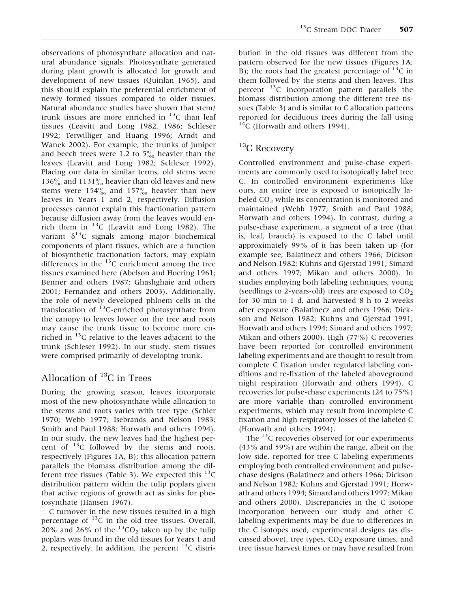observations of photosynthate allocation and natural abundance signals. Photosynthate generated during plant growth is allocated for growth and development of new tissues (Quinlan 1965), and this should explain the preferential enrichment of newly formed tissues compared to older tissues. Natural abundance studies have shown that stem/ trunk tissues are more enriched in  $^{13}$ C than leaf tissues (Leavitt and Long 1982, 1986; Schleser 1992; Terwilliger and Huang 1996; Arndt and Wanek 2002). For example, the trunks of juniper and beech trees were 1.2 to  $5\%$  heavier than the leaves (Leavitt and Long 1982; Schleser 1992). Placing our data in similar terms, old stems were 136 $\frac{6}{10}$  and 1131 $\frac{6}{10}$  heavier than old leaves and new stems were  $154\%$  and  $157\%$  heavier than new leaves in Years 1 and 2, respectively. Diffusion processes cannot explain this fractionation pattern because diffusion away from the leaves would enrich them in  $^{13}$ C (Leavitt and Long 1982). The variant  $\delta^{13}$ C signals among major biochemical components of plant tissues, which are a function of biosynthetic fractionation factors, may explain differences in the  $^{13}$ C enrichment among the tree tissues examined here (Abelson and Hoering 1961; Benner and others 1987; Ghashghaie and others 2001; Fernandez and others 2003). Additionally, the role of newly developed phloem cells in the translocation of  $^{13}$ C-enriched photosynthate from the canopy to leaves lower on the tree and roots may cause the trunk tissue to become more enriched in  $^{13}$ C relative to the leaves adjacent to the trunk (Schleser 1992). In our study, stem tissues were comprised primarily of developing trunk.

# Allocation of  ${}^{13}C$  in Trees

During the growing season, leaves incorporate most of the new photosynthate while allocation to the stems and roots varies with tree type (Schier 1970; Webb 1977; Isebrands and Nelson 1983; Smith and Paul 1988; Horwath and others 1994). In our study, the new leaves had the highest percent of 13C followed by the stems and roots, respectively (Figures 1A, B); this allocation pattern parallels the biomass distribution among the different tree tissues (Table 3). We expected this  $^{13}$ C distribution pattern within the tulip poplars given that active regions of growth act as sinks for photosynthate (Hansen 1967).

C turnover in the new tissues resulted in a high percentage of <sup>13</sup>C in the old tree tissues. Overall, 20% and 26% of the  ${}^{13}CO_2$  taken up by the tulip poplars was found in the old tissues for Years 1 and 2, respectively. In addition, the percent  $^{13}$ C distribution in the old tissues was different from the pattern observed for the new tissues (Figures 1A, B); the roots had the greatest percentage of  $^{13}$ C in them followed by the stems and then leaves. This percent 13C incorporation pattern parallels the biomass distribution among the different tree tissues (Table 3) and is similar to C allocation patterns reported for deciduous trees during the fall using  $^{14}$ C (Horwath and others 1994).

# <sup>13</sup>C Recovery

Controlled environment and pulse-chase experiments are commonly used to isotopically label tree C. In controlled environment experiments like ours, an entire tree is exposed to isotopically labeled CO<sub>2</sub> while its concentration is monitored and maintained (Webb 1977; Smith and Paul 1988; Horwath and others 1994). In contrast, during a pulse-chase experiment, a segment of a tree (that is, leaf, branch) is exposed to the C label until approximately 99% of it has been taken up (for example see, Balatinecz and others 1966; Dickson and Nelson 1982; Kuhns and Gjerstad 1991; Simard and others 1997; Mikan and others 2000). In studies employing both labeling techniques, young (seedlings to 2-years-old) trees are exposed to  $CO<sub>2</sub>$ for 30 min to 1 d, and harvested 8 h to 2 weeks after exposure (Balatinecz and others 1966; Dickson and Nelson 1982; Kuhns and Gjerstad 1991; Horwath and others 1994; Simard and others 1997; Mikan and others 2000). High (77%) C recoveries have been reported for controlled environment labeling experiments and are thought to result from complete C fixation under regulated labeling conditions and re-fixation of the labeled aboveground night respiration (Horwath and others 1994). C recoveries for pulse-chase experiments (24 to 75%) are more variable than controlled environment experiments, which may result from incomplete C fixation and high respiratory losses of the labeled C (Horwath and others 1994).

The  $^{13}$ C recoveries observed for our experiments (43% and 59%) are within the range, albeit on the low side, reported for tree C labeling experiments employing both controlled environment and pulsechase designs (Balatinecz and others 1966; Dickson and Nelson 1982; Kuhns and Gjerstad 1991; Horwath and others 1994; Simard and others 1997; Mikan and others 2000). Discrepancies in the C isotope incorporation between our study and other C labeling experiments may be due to differences in the C isotopes used, experimental designs (as discussed above), tree types,  $CO<sub>2</sub>$  exposure times, and tree tissue harvest times or may have resulted from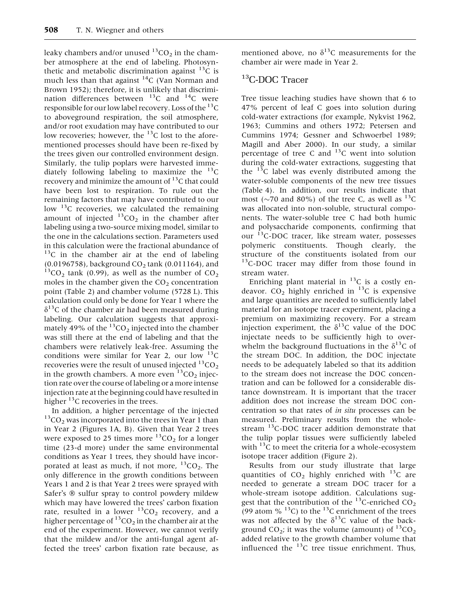leaky chambers and/or unused  ${}^{13}CO_2$  in the chamber atmosphere at the end of labeling. Photosynthetic and metabolic discrimination against  $^{13}$ C is much less than that against  ${}^{14}C$  (Van Norman and Brown 1952); therefore, it is unlikely that discrimination differences between  $^{13}$ C and  $^{14}$ C were responsible for our low label recovery. Loss of the  $^{13}C$ to aboveground respiration, the soil atmosphere, and/or root exudation may have contributed to our low recoveries; however, the  $^{13}$ C lost to the aforementioned processes should have been re-fixed by the trees given our controlled environment design. Similarly, the tulip poplars were harvested immediately following labeling to maximize the  $^{13}$ C recovery and minimize the amount of  $^{13}$ C that could have been lost to respiration. To rule out the remaining factors that may have contributed to our low  $^{13}$ C recoveries, we calculated the remaining amount of injected  ${}^{13}CO_2$  in the chamber after labeling using a two-source mixing model, similar to the one in the calculations section. Parameters used in this calculation were the fractional abundance of  $13C$  in the chamber air at the end of labeling (0.0196758), background  $CO_2$  tank (0.011164), and <sup>13</sup>CO<sub>2</sub> tank (0.99), as well as the number of  $CO_2$ moles in the chamber given the  $CO<sub>2</sub>$  concentration point (Table 2) and chamber volume (5728 L). This calculation could only be done for Year 1 where the  $\delta^{13}$ C of the chamber air had been measured during labeling. Our calculation suggests that approximately 49% of the  $^{13}CO_2$  injected into the chamber was still there at the end of labeling and that the chambers were relatively leak-free. Assuming the conditions were similar for Year 2, our low  $^{13}$ C recoveries were the result of unused injected  $^{13}$ CO<sub>2</sub> in the growth chambers. A more even  ${}^{13}CO_2$  injection rate over the course of labeling or a more intense injection rate at the beginning could have resulted in higher  $^{13}$ C recoveries in the trees.<br>In addition, a higher percentage of the injected

 $13<sub>CO</sub>$  was incorporated into the trees in Year 1 than in Year 2 (Figures 1A, B). Given that Year 2 trees were exposed to 25 times more  ${}^{13}CO_2$  for a longer time (23-d more) under the same environmental conditions as Year 1 trees, they should have incorporated at least as much, if not more,  ${}^{13}CO_2$ . The only difference in the growth conditions between Years 1 and 2 is that Year 2 trees were sprayed with Safer's ® sulfur spray to control powdery mildew which may have lowered the trees' carbon fixation rate, resulted in a lower  $^{13}CO_2$  recovery, and a higher percentage of  ${}^{13}CO<sub>2</sub>$  in the chamber air at the end of the experiment. However, we cannot verify that the mildew and/or the anti-fungal agent affected the trees' carbon fixation rate because, as mentioned above, no  $\delta^{13}$ C measurements for the chamber air were made in Year 2.

## <sup>13</sup>C-DOC Tracer

Tree tissue leaching studies have shown that 6 to 47% percent of leaf C goes into solution during cold-water extractions (for example, Nykvist 1962, 1963; Cummins and others 1972; Petersen and Cummins 1974; Gessner and Schwoerbel 1989; Magill and Aber 2000). In our study, a similar percentage of tree C and  $^{13}$ C went into solution during the cold-water extractions, suggesting that the  $^{13}$ C label was evenly distributed among the water-soluble components of the new tree tissues (Table 4). In addition, our results indicate that most ( $\sim$ 70 and 80%) of the tree C, as well as <sup>13</sup>C was allocated into non-soluble, structural components. The water-soluble tree C had both humic and polysaccharide components, confirming that our <sup>13</sup>C-DOC tracer, like stream water, possesses polymeric constituents. Though clearly, the structure of the constituents isolated from our <sup>13</sup>C-DOC tracer may differ from those found in stream water.

Enriching plant material in  $^{13}$ C is a costly endeavor.  $CO_2$  highly enriched in <sup>13</sup>C is expensive and large quantities are needed to sufficiently label material for an isotope tracer experiment, placing a premium on maximizing recovery. For a stream injection experiment, the  $\delta^{13}$ C value of the DOC injectate needs to be sufficiently high to overwhelm the background fluctuations in the  $\delta^{13}C$  of the stream DOC. In addition, the DOC injectate needs to be adequately labeled so that its addition to the stream does not increase the DOC concentration and can be followed for a considerable distance downstream. It is important that the tracer addition does not increase the stream DOC concentration so that rates of in situ processes can be measured. Preliminary results from the wholestream  $^{13}$ C-DOC tracer addition demonstrate that the tulip poplar tissues were sufficiently labeled with  $^{13}$ C to meet the criteria for a whole-ecosystem isotope tracer addition (Figure 2).

Results from our study illustrate that large quantities of  $CO<sub>2</sub>$  highly enriched with <sup>13</sup>C are needed to generate a stream DOC tracer for a whole-stream isotope addition. Calculations suggest that the contribution of the  $^{13}$ C-enriched CO<sub>2</sub> (99 atom  $\%$  <sup>13</sup>C) to the <sup>13</sup>C enrichment of the trees was not affected by the  $\delta^{13}$ C value of the background  $CO_2$ ; it was the volume (amount) of  $^{13}CO_2$ added relative to the growth chamber volume that influenced the  $^{13}$ C tree tissue enrichment. Thus,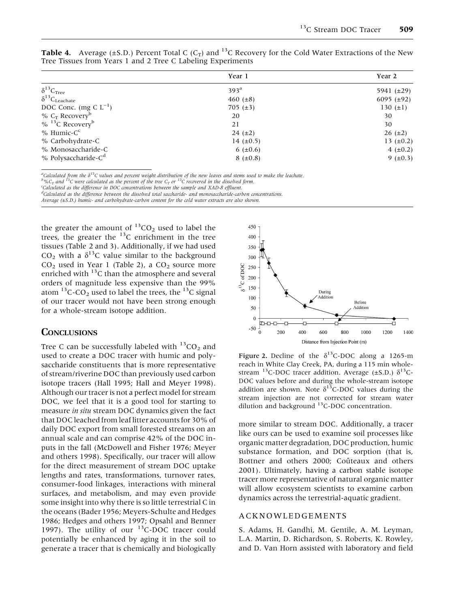|                                            | Year 1           | Year 2           |
|--------------------------------------------|------------------|------------------|
| $\delta^{13}C_{\text{Tree}}$               | 393 <sup>a</sup> | 5941 $(\pm 29)$  |
| $\delta^{13}C_{\text{Leachate}}$           | 460 $(\pm 8)$    | 6095 ( $\pm$ 92) |
| DOC Conc. (mg C $L^{-1}$ )                 | $705 (\pm 3)$    | 130 $(\pm 1)$    |
| $% C_T$ Recovery <sup>b</sup>              | 20               | 30               |
| $\%$ <sup>13</sup> C Recovery <sup>b</sup> | 21               | 30               |
| $%$ Humic-C $c$                            | $24 (+2)$        | $26 (\pm 2)$     |
| % Carbohydrate-C                           | 14 $(\pm 0.5)$   | 13 $(\pm 0.2)$   |
| % Monosaccharide-C                         | 6 $(\pm 0.6)$    | $4 (+0.2)$       |
| $%$ Polysaccharide-C <sup>d</sup>          | $8 (+0.8)$       | $9 (+0.3)$       |

**Table 4.** Average ( $\pm$ S.D.) Percent Total C (C<sub>T</sub>) and <sup>13</sup>C Recovery for the Cold Water Extractions of the New Tree Tissues from Years 1 and 2 Tree C Labeling Experiments

<sup>a</sup>Calculated from the  $\delta^{13}$ C values and percent weight distribution of the new leaves and stems used to make the leachate.<br><sup>b</sup> OcT and <sup>13</sup>C were calculated as the percent of the tree C<sub>T</sub> or <sup>13</sup>C recovered in the di

d Calculated as the difference between the dissolved total saccharide- and monosaccharide-carbon concentrations.

Average (±S.D.) humic- and carbohydrate-carbon content for the cold water extracts are also shown.

the greater the amount of  ${}^{13}CO_2$  used to label the trees, the greater the  $^{13}$ C enrichment in the tree tissues (Table 2 and 3). Additionally, if we had used  $CO<sub>2</sub>$  with a  $\delta^{13}$ C value similar to the background  $CO<sub>2</sub>$  used in Year 1 (Table 2), a  $CO<sub>2</sub>$  source more enriched with  $^{13}$ C than the atmosphere and several orders of magnitude less expensive than the 99% atom  $^{13}$ C-CO<sub>2</sub> used to label the trees, the  $^{13}$ C signal of our tracer would not have been strong enough for a whole-stream isotope addition.

#### **CONCLUSIONS**

Tree C can be successfully labeled with  ${}^{13}CO_2$  and used to create a DOC tracer with humic and polysaccharide constituents that is more representative of stream/riverine DOC than previously used carbon isotope tracers (Hall 1995; Hall and Meyer 1998). Although our tracer is not a perfect model for stream DOC, we feel that it is a good tool for starting to measure in situ stream DOC dynamics given the fact that DOC leached from leaf litter accounts for 30% of daily DOC export from small forested streams on an annual scale and can comprise 42% of the DOC inputs in the fall (McDowell and Fisher 1976; Meyer and others 1998). Specifically, our tracer will allow for the direct measurement of stream DOC uptake lengths and rates, transformations, turnover rates, consumer-food linkages, interactions with mineral surfaces, and metabolism, and may even provide some insight into why there is so little terrestrial C in the oceans (Bader 1956; Meyers-Schulte and Hedges 1986; Hedges and others 1997; Opsahl and Benner 1997). The utility of our  $^{13}$ C-DOC tracer could potentially be enhanced by aging it in the soil to generate a tracer that is chemically and biologically



Figure 2. Decline of the  $\delta^{13}$ C-DOC along a 1265-m reach in White Clay Creek, PA, during a 115 min wholestream <sup>13</sup>C-DOC tracer addition. Average ( $\pm$ S.D.)  $\delta$ <sup>13</sup>C-DOC values before and during the whole-stream isotope addition are shown. Note  $\delta^{13}$ C-DOC values during the stream injection are not corrected for stream water dilution and background <sup>13</sup>C-DOC concentration.

more similar to stream DOC. Additionally, a tracer like ours can be used to examine soil processes like organic matter degradation, DOC production, humic substance formation, and DOC sorption (that is, Bottner and others 2000; Coûteaux and others 2001). Ultimately, having a carbon stable isotope tracer more representative of natural organic matter will allow ecosystem scientists to examine carbon dynamics across the terrestrial-aquatic gradient.

#### ACKNOWLEDGEMENTS

S. Adams, H. Gandhi, M. Gentile, A. M. Leyman, L.A. Martin, D. Richardson, S. Roberts, K. Rowley, and D. Van Horn assisted with laboratory and field

Calculated as the difference in DOC concentrations between the sample and XAD-8 effluent.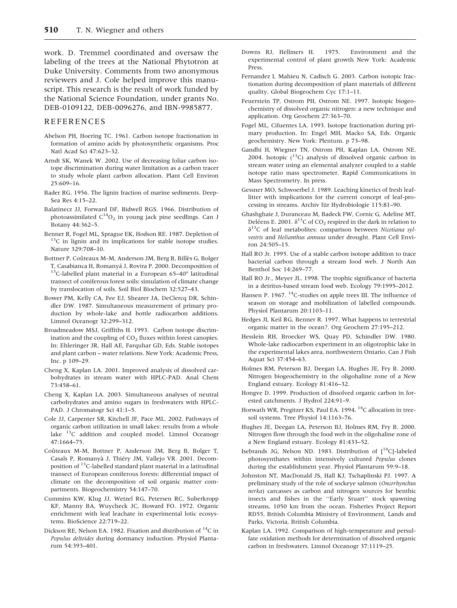work. D. Tremmel coordinated and oversaw the labeling of the trees at the National Phytotron at Duke University. Comments from two anonymous reviewers and J. Cole helped improve this manuscript. This research is the result of work funded by the National Science Foundation, under grants No. DEB-0109122, DEB-0096276, and IBN-9985877.

#### REFERENCES

- Abelson PH, Hoering TC. 1961. Carbon isotope fractionation in formation of amino acids by photosynthetic organisms. Proc Natl Acad Sci 47:623–32.
- Arndt SK, Wanek W. 2002. Use of decreasing foliar carbon isotope discrimination during water limitation as a carbon tracer to study whole plant carbon allocation. Plant Cell Environ 25:609–16.
- Bader RG. 1956. The lignin fraction of marine sediments. Deep-Sea Res 4:15–22.
- Balatinecz JJ, Forward DF, Bidwell RGS. 1966. Distribution of photoassimilated  $C^{14}O_2$  in young jack pine seedlings. Can J Botany 44:362–5.
- Benner R, Fogel ML, Sprague EK, Hodson RE. 1987. Depletion of <sup>13</sup>C in lignin and its implications for stable isotope studies. Nature 329:708–10.
- Bottner P, Coûteaux M-M, Anderson JM, Berg B, Billès G, Bolger T, Casabianca H, Romanyá J, Rovira P. 2000. Decomposition of<br><sup>13</sup>C-labelled plant material in a European 65–40° latitudinal transect of coniferous forest soils: simulation of climate change by translocation of soils. Soil Biol Biochem 32:527–43.
- Bower PM, Kelly CA, Fee EJ, Shearer JA, DeClercq DR, Schindler DW. 1987. Simultaneous measurement of primary production by whole-lake and bottle radiocarbon additions. Limnol Oceanogr 32:299–312.
- Broadmeadow MSJ, Griffiths H. 1993. Carbon isotope discrimination and the coupling of  $CO<sub>2</sub>$  fluxes within forest canopies. In: Ehleringer JR, Hall AE, Farquhar GD, Eds. Stable isotopes and plant carbon – water relations. New York: Academic Press, Inc. p 109–29.
- Cheng X, Kaplan LA. 2001. Improved analysis of dissolved carbohydrates in stream water with HPLC-PAD. Anal Chem 73:458–61.
- Cheng X, Kaplan LA. 2003. Simultaneous analyses of neutral carbohydrates and amino sugars in freshwaters with HPLC-PAD. J Chromatogr Sci 41:1–5.
- Cole JJ, Carpenter SR, Kitchell JF, Pace ML. 2002. Pathways of organic carbon utilization in small lakes: results from a whole lake <sup>13</sup>C addition and coupled model. Limnol Oceanogr 47:1664–75.
- Coûteaux M-M, Bottner P, Anderson JM, Berg B, Bolger T, Casals P, Romanyà J, Thiéry JM, Vallejo VR. 2001. Decomposition of 13C-labelled standard plant material in a latitudinal transect of European coniferous forests: differential impact of climate on the decomposition of soil organic matter compartments. Biogeochemistry 54:147–70.
- Cummins KW, Klug JJ, Wetzel RG, Petersen RC, Suberkropp KF, Manny BA, Wuycheck JC, Howard FO. 1972. Organic enrichment with leaf leachate in experimental lotic ecosystems. BioScience 22:719–22.
- Dickson RE, Nelson EA. 1982. Fixation and distribution of 14C in Populus deltoides during dormancy induction. Physiol Plantarum 54:393–401.
- Downs RJ, Hellmers H. 1975. Environment and the experimental control of plant growth New York: Academic Press.
- Fernandez I, Mahieu N, Cadisch G. 2003. Carbon isotopic fractionation during decomposition of plant materials of different quality. Global Biogeochem Cyc 17:1–11.
- Feuerstein TP, Ostrom PH, Ostrom NE. 1997. Isotopic biogeochemistry of dissolved organic nitrogen: a new technique and application. Org Geochem 27:363–70.
- Fogel ML, Cifuentes LA. 1993. Isotope fractionation during primary production. In: Engel MH, Macko SA, Eds. Organic geochemistry. New York: Plentum. p 73–98.
- Gandhi H, Wiegner TN, Ostrom PH, Kaplan LA, Ostrom NE. 2004. Isotopic  $(^{13}C)$  analysis of dissolved organic carbon in stream water using an elemental analyzer coupled to a stable isotope ratio mass spectrometer. Rapid Communications in Mass Spectrometry. In press.
- Gessner MO, Schwoerbel J. 1989. Leaching kinetics of fresh leaflitter with implications for the current concept of leaf-processing in streams. Archiv für Hydrobiologie 115:81-90.
- Ghashghaie J, Duranceau M, Badeck FW, Cornic G, Adeline MT, Deléens E. 2001.  $\delta^{13}$ C of CO<sub>2</sub> respired in the dark in relation to  $\delta^{13}$ C of leaf metabolites: comparison between Nicotiana sylvestris and Helianthus annuus under drought. Plant Cell Environ 24:505–15.
- Hall RO Jr. 1995. Use of a stable carbon isotope addition to trace bacterial carbon through a stream food web. J North Am Benthol Soc 14:269–77.
- Hall RO Jr., Meyer JL. 1998. The trophic significance of bacteria in a detritus-based stream food web. Ecology 79:1995–2012.
- Hansen P. 1967. <sup>14</sup>C-studies on apple trees III. The influence of season on storage and mobilization of labelled compounds. Physiol Plantarum 20:1103–11.
- Hedges JI, Keil RG, Benner R. 1997. What happens to terrestrial organic matter in the ocean?. Org Geochem 27:195–212.
- Hesslein RH, Broecker WS, Quay PD, Schindler DW. 1980. Whole-lake radiocarbon experiment in an oligotrophic lake in the experimental lakes area, northwestern Ontario. Can J Fish Aquat Sci 37:454–63.
- Holmes RM, Peterson BJ, Deegan LA, Hughes JE, Fry B. 2000. Nitrogen biogeochemistry in the oligohaline zone of a New England estuary. Ecology 81:416–32.
- Hongve D. 1999. Production of dissolved organic carbon in forested catchments. J Hydrol 224:91–9.
- Horwath WR, Pregitzer KS, Paul EA. 1994.<sup>14</sup>C allocation in treesoil systems. Tree Physiol 14:1163–76.
- Hughes JE, Deegan LA, Peterson BJ, Holmes RM, Fry B. 2000. Nitrogen flow through the food web in the oligohaline zone of a New England estuary. Ecology 81:433–52.
- Isebrands JG, Nelson ND. 1983. Distribution of  $\int_0^{14}C$ ]-labeled photosynthates within intensively cultured Populus clones during the establishment year. Physiol Plantarum 59:9–18.
- Johnston NT, MacDonald JS, Hall KJ, Tschaplinski PJ. 1997. A preliminary study of the role of sockeye salmon (Oncorhynchus nerka) carcasses as carbon and nitrogen sources for benthic insects and fishes in the ''Early Stuart'' stock spawning streams, 1050 km from the ocean. Fisheries Project Report RD55, British Columbia Ministry of Environment, Lands and Parks, Victoria, British Columbia.
- Kaplan LA. 1992. Comparison of high-temperature and persulfate oxidation methods for determination of dissolved organic carbon in freshwaters. Limnol Oceanogr 37:1119–25.